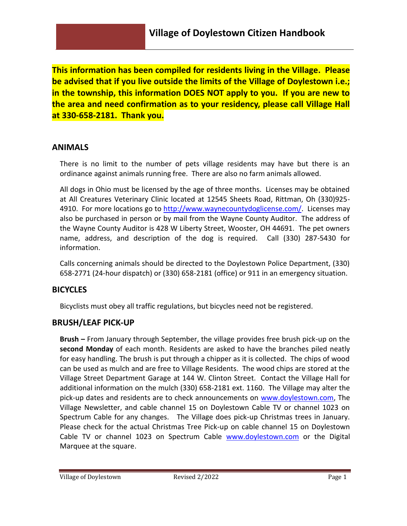**This information has been compiled for residents living in the Village. Please be advised that if you live outside the limits of the Village of Doylestown i.e.; in the township, this information DOES NOT apply to you. If you are new to the area and need confirmation as to your residency, please call Village Hall at 330-658-2181. Thank you.**

# **ANIMALS**

There is no limit to the number of pets village residents may have but there is an ordinance against animals running free. There are also no farm animals allowed.

All dogs in Ohio must be licensed by the age of three months. Licenses may be obtained at All Creatures Veterinary Clinic located at 12545 Sheets Road, Rittman, Oh (330)925 4910. For more locations go to [http://www.waynecountydoglicense.com/.](http://www.waynecountydoglicense.com/) Licenses may also be purchased in person or by mail from the Wayne County Auditor. The address of the Wayne County Auditor is 428 W Liberty Street, Wooster, OH 44691. The pet owners name, address, and description of the dog is required. Call (330) 287-5430 for information.

Calls concerning animals should be directed to the Doylestown Police Department, (330) 658-2771 (24-hour dispatch) or (330) 658-2181 (office) or 911 in an emergency situation.

# **BICYCLES**

Bicyclists must obey all traffic regulations, but bicycles need not be registered.

# **BRUSH/LEAF PICK-UP**

**Brush –** From January through September, the village provides free brush pick-up on the **second Monday** of each month. Residents are asked to have the branches piled neatly for easy handling. The brush is put through a chipper as it is collected. The chips of wood can be used as mulch and are free to Village Residents. The wood chips are stored at the Village Street Department Garage at 144 W. Clinton Street. Contact the Village Hall for additional information on the mulch (330) 658-2181 ext. 1160. The Village may alter the pick-up dates and residents are to check announcements on [www.doylestown.com,](http://www.doylestown.com/) The Village Newsletter, and cable channel 15 on Doylestown Cable TV or channel 1023 on Spectrum Cable for any changes. The Village does pick-up Christmas trees in January. Please check for the actual Christmas Tree Pick-up on cable channel 15 on Doylestown Cable TV or channel 1023 on Spectrum Cable [www.doylestown.com](http://www.doylestown.com/) or the Digital Marquee at the square.

Village of Doylestown **Revised 2/2022** Page 1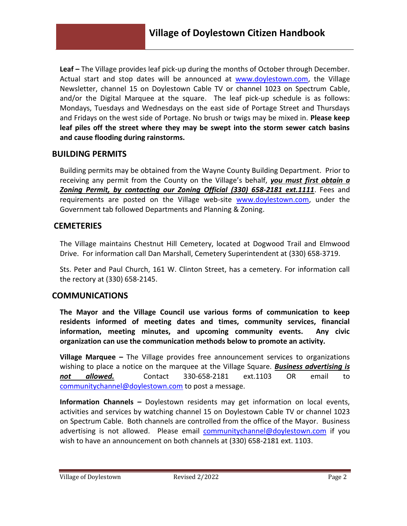**Leaf –** The Village provides leaf pick-up during the months of October through December. Actual start and stop dates will be announced at [www.doylestown.com,](http://www.doylestown.com/) the Village Newsletter, channel 15 on Doylestown Cable TV or channel 1023 on Spectrum Cable, and/or the Digital Marquee at the square. The leaf pick-up schedule is as follows: Mondays, Tuesdays and Wednesdays on the east side of Portage Street and Thursdays and Fridays on the west side of Portage. No brush or twigs may be mixed in. **Please keep leaf piles off the street where they may be swept into the storm sewer catch basins and cause flooding during rainstorms.**

#### **BUILDING PERMITS**

Building permits may be obtained from the Wayne County Building Department. Prior to receiving any permit from the County on the Village's behalf, *you must first obtain a Zoning Permit, by contacting our Zoning Official (330) 658-2181 ext.1111*. Fees and requirements are posted on the Village web-site [www.doylestown.com,](http://www.doylestown.com/) under the Government tab followed Departments and Planning & Zoning.

## **CEMETERIES**

The Village maintains Chestnut Hill Cemetery, located at Dogwood Trail and Elmwood Drive. For information call Dan Marshall, Cemetery Superintendent at (330) 658-3719.

Sts. Peter and Paul Church, 161 W. Clinton Street, has a cemetery. For information call the rectory at (330) 658-2145.

## **COMMUNICATIONS**

**The Mayor and the Village Council use various forms of communication to keep residents informed of meeting dates and times, community services, financial information, meeting minutes, and upcoming community events. Any civic organization can use the communication methods below to promote an activity.** 

**Village Marquee –** The Village provides free announcement services to organizations wishing to place a notice on the marquee at the Village Square. *Business advertising is not allowed.* Contact 330-658-2181 ext.1103 OR email to [communitychannel@doylestown.com](mailto:communitychannel@doylestown.com) to post a message.

**Information Channels –** Doylestown residents may get information on local events, activities and services by watching channel 15 on Doylestown Cable TV or channel 1023 on Spectrum Cable. Both channels are controlled from the office of the Mayor. Business advertising is not allowed. Please email [communitychannel@doylestown.com](mailto:communitychannel@doylestown.com) if you wish to have an announcement on both channels at (330) 658-2181 ext. 1103.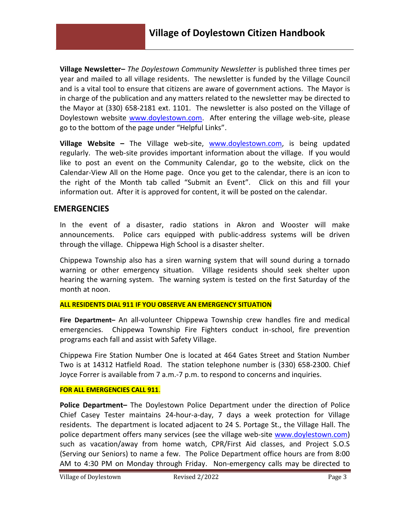**Village Newsletter–** *The Doylestown Community Newsletter* is published three times per year and mailed to all village residents. The newsletter is funded by the Village Council and is a vital tool to ensure that citizens are aware of government actions. The Mayor is in charge of the publication and any matters related to the newsletter may be directed to the Mayor at (330) 658-2181 ext. 1101. The newsletter is also posted on the Village of Doylestown website [www.doylestown.com.](http://www.doylestown.com/) After entering the village web-site, please go to the bottom of the page under "Helpful Links".

**Village Website –** The Village web-site, [www.doylestown.com,](http://www.doylestown.com/) is being updated regularly. The web-site provides important information about the village. If you would like to post an event on the Community Calendar, go to the website, click on the Calendar-View All on the Home page. Once you get to the calendar, there is an icon to the right of the Month tab called "Submit an Event". Click on this and fill your information out. After it is approved for content, it will be posted on the calendar.

#### **EMERGENCIES**

In the event of a disaster, radio stations in Akron and Wooster will make announcements. Police cars equipped with public-address systems will be driven through the village. Chippewa High School is a disaster shelter.

Chippewa Township also has a siren warning system that will sound during a tornado warning or other emergency situation. Village residents should seek shelter upon hearing the warning system. The warning system is tested on the first Saturday of the month at noon.

#### **ALL RESIDENTS DIAL 911 IF YOU OBSERVE AN EMERGENCY SITUATION**

**Fire Department–** An all-volunteer Chippewa Township crew handles fire and medical emergencies. Chippewa Township Fire Fighters conduct in-school, fire prevention programs each fall and assist with Safety Village.

Chippewa Fire Station Number One is located at 464 Gates Street and Station Number Two is at 14312 Hatfield Road. The station telephone number is (330) 658-2300. Chief Joyce Forrer is available from 7 a.m.-7 p.m. to respond to concerns and inquiries.

#### **FOR ALL EMERGENCIES CALL 911**.

**Police Department–** The Doylestown Police Department under the direction of Police Chief Casey Tester maintains 24-hour-a-day, 7 days a week protection for Village residents. The department is located adjacent to 24 S. Portage St., the Village Hall. The police department offers many services (see the village web-site [www.doylestown.com\)](http://www.doylestown.com/) such as vacation/away from home watch, CPR/First Aid classes, and Project S.O.S (Serving our Seniors) to name a few. The Police Department office hours are from 8:00 AM to 4:30 PM on Monday through Friday. Non-emergency calls may be directed to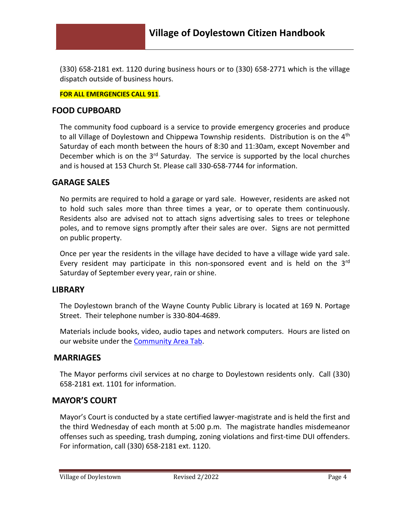(330) 658-2181 ext. 1120 during business hours or to (330) 658-2771 which is the village dispatch outside of business hours.

**FOR ALL EMERGENCIES CALL 911**.

## **FOOD CUPBOARD**

The community food cupboard is a service to provide emergency groceries and produce to all Village of Doylestown and Chippewa Township residents. Distribution is on the  $4<sup>th</sup>$ Saturday of each month between the hours of 8:30 and 11:30am, except November and December which is on the  $3<sup>rd</sup>$  Saturday. The service is supported by the local churches and is housed at 153 Church St. Please call 330-658-7744 for information.

## **GARAGE SALES**

No permits are required to hold a garage or yard sale. However, residents are asked not to hold such sales more than three times a year, or to operate them continuously. Residents also are advised not to attach signs advertising sales to trees or telephone poles, and to remove signs promptly after their sales are over. Signs are not permitted on public property.

Once per year the residents in the village have decided to have a village wide yard sale. Every resident may participate in this non-sponsored event and is held on the  $3<sup>rd</sup>$ Saturday of September every year, rain or shine.

## **LIBRARY**

The Doylestown branch of the Wayne County Public Library is located at 169 N. Portage Street. Their telephone number is 330-804-4689.

Materials include books, video, audio tapes and network computers. Hours are listed on our website under the [Community Area Tab.](http://www.doylestown.com/874/Community-Area)

## **MARRIAGES**

The Mayor performs civil services at no charge to Doylestown residents only. Call (330) 658-2181 ext. 1101 for information.

#### **MAYOR'S COURT**

Mayor's Court is conducted by a state certified lawyer-magistrate and is held the first and the third Wednesday of each month at 5:00 p.m. The magistrate handles misdemeanor offenses such as speeding, trash dumping, zoning violations and first-time DUI offenders. For information, call (330) 658-2181 ext. 1120.

Village of Doylestown **Revised 2/2022** Page 4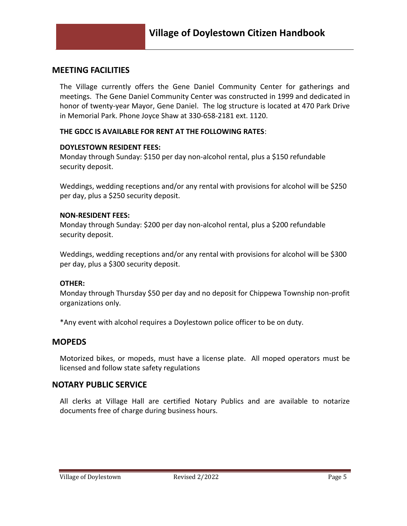#### **MEETING FACILITIES**

The Village currently offers the Gene Daniel Community Center for gatherings and meetings. The Gene Daniel Community Center was constructed in 1999 and dedicated in honor of twenty-year Mayor, Gene Daniel. The log structure is located at 470 Park Drive in Memorial Park. Phone Joyce Shaw at 330-658-2181 ext. 1120.

#### **THE GDCC IS AVAILABLE FOR RENT AT THE FOLLOWING RATES**:

#### **DOYLESTOWN RESIDENT FEES:**

Monday through Sunday: \$150 per day non-alcohol rental, plus a \$150 refundable security deposit.

Weddings, wedding receptions and/or any rental with provisions for alcohol will be \$250 per day, plus a \$250 security deposit.

#### **NON-RESIDENT FEES:**

Monday through Sunday: \$200 per day non-alcohol rental, plus a \$200 refundable security deposit.

Weddings, wedding receptions and/or any rental with provisions for alcohol will be \$300 per day, plus a \$300 security deposit.

#### **OTHER:**

Monday through Thursday \$50 per day and no deposit for Chippewa Township non-profit organizations only.

\*Any event with alcohol requires a Doylestown police officer to be on duty.

#### **MOPEDS**

Motorized bikes, or mopeds, must have a license plate. All moped operators must be licensed and follow state safety regulations

#### **NOTARY PUBLIC SERVICE**

All clerks at Village Hall are certified Notary Publics and are available to notarize documents free of charge during business hours.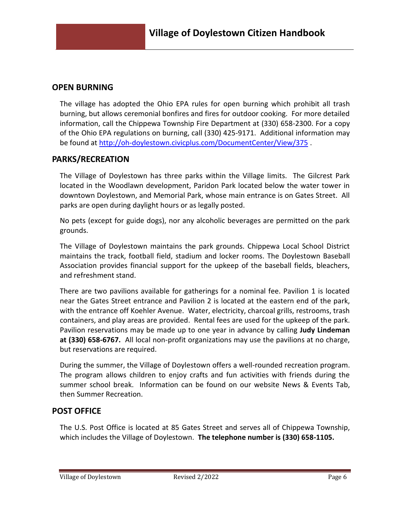## **OPEN BURNING**

The village has adopted the Ohio EPA rules for open burning which prohibit all trash burning, but allows ceremonial bonfires and fires for outdoor cooking. For more detailed information, call the Chippewa Township Fire Department at (330) 658-2300. For a copy of the Ohio EPA regulations on burning, call (330) 425-9171. Additional information may be found at<http://oh-doylestown.civicplus.com/DocumentCenter/View/375> .

## **PARKS/RECREATION**

The Village of Doylestown has three parks within the Village limits. The Gilcrest Park located in the Woodlawn development, Paridon Park located below the water tower in downtown Doylestown, and Memorial Park, whose main entrance is on Gates Street. All parks are open during daylight hours or as legally posted.

No pets (except for guide dogs), nor any alcoholic beverages are permitted on the park grounds.

The Village of Doylestown maintains the park grounds. Chippewa Local School District maintains the track, football field, stadium and locker rooms. The Doylestown Baseball Association provides financial support for the upkeep of the baseball fields, bleachers, and refreshment stand.

There are two pavilions available for gatherings for a nominal fee. Pavilion 1 is located near the Gates Street entrance and Pavilion 2 is located at the eastern end of the park, with the entrance off Koehler Avenue. Water, electricity, charcoal grills, restrooms, trash containers, and play areas are provided. Rental fees are used for the upkeep of the park. Pavilion reservations may be made up to one year in advance by calling **Judy Lindeman at (330) 658-6767.** All local non-profit organizations may use the pavilions at no charge, but reservations are required.

During the summer, the Village of Doylestown offers a well-rounded recreation program. The program allows children to enjoy crafts and fun activities with friends during the summer school break. Information can be found on our website News & Events Tab, then Summer Recreation.

## **POST OFFICE**

The U.S. Post Office is located at 85 Gates Street and serves all of Chippewa Township, which includes the Village of Doylestown. **The telephone number is (330) 658-1105.**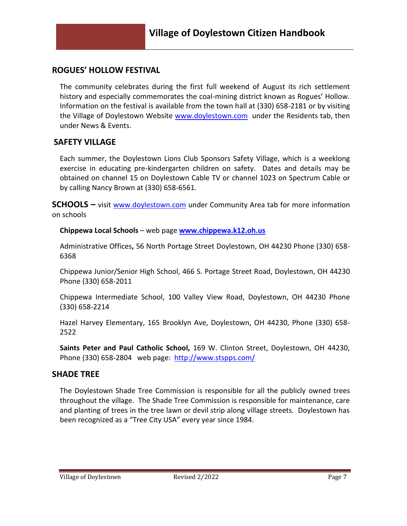# **ROGUES' HOLLOW FESTIVAL**

The community celebrates during the first full weekend of August its rich settlement history and especially commemorates the coal-mining district known as Rogues' Hollow. Information on the festival is available from the town hall at (330) 658-2181 or by visiting the Village of Doylestown Website [www.doylestown.com](http://www.doylestown.com/) under the Residents tab, then under News & Events.

#### **SAFETY VILLAGE**

Each summer, the Doylestown Lions Club Sponsors Safety Village, which is a weeklong exercise in educating pre-kindergarten children on safety. Dates and details may be obtained on channel 15 on Doylestown Cable TV or channel 1023 on Spectrum Cable or by calling Nancy Brown at (330) 658-6561.

**SCHOOLS –** visit [www.doylestown.com](http://www.doylestown.com/) under Community Area tab for more information on schools

**Chippewa Local Schools** – web page **[www.chippewa.k12.oh.us](http://www.chippewa.k12.oh.us/)**

Administrative Offices**,** 56 North Portage Street Doylestown, OH 44230 Phone (330) 658- 6368

Chippewa Junior/Senior High School, 466 S. Portage Street Road, Doylestown, OH 44230 Phone (330) 658-2011

Chippewa Intermediate School, 100 Valley View Road, Doylestown, OH 44230 Phone (330) 658-2214

Hazel Harvey Elementary, 165 Brooklyn Ave, Doylestown, OH 44230, Phone (330) 658- 2522

**Saints Peter and Paul Catholic School,** 169 W. Clinton Street, Doylestown, OH 44230, Phone (330) 658-2804 web page: <http://www.stspps.com/>

#### **SHADE TREE**

The Doylestown Shade Tree Commission is responsible for all the publicly owned trees throughout the village. The Shade Tree Commission is responsible for maintenance, care and planting of trees in the tree lawn or devil strip along village streets. Doylestown has been recognized as a "Tree City USA" every year since 1984.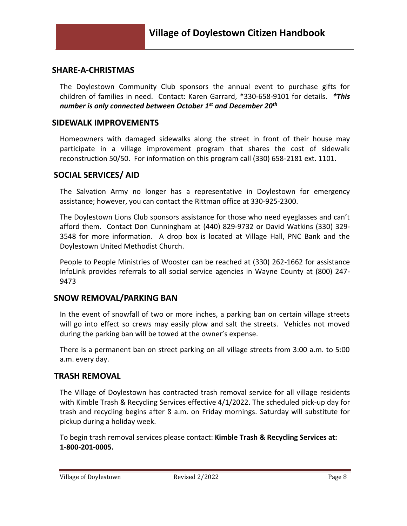#### **SHARE-A-CHRISTMAS**

The Doylestown Community Club sponsors the annual event to purchase gifts for children of families in need. Contact: Karen Garrard, \*330-658-9101 for details. *\*This number is only connected between October 1st and December 20th*

#### **SIDEWALK IMPROVEMENTS**

Homeowners with damaged sidewalks along the street in front of their house may participate in a village improvement program that shares the cost of sidewalk reconstruction 50/50. For information on this program call (330) 658-2181 ext. 1101.

#### **SOCIAL SERVICES/ AID**

The Salvation Army no longer has a representative in Doylestown for emergency assistance; however, you can contact the Rittman office at 330-925-2300.

The Doylestown Lions Club sponsors assistance for those who need eyeglasses and can't afford them. Contact Don Cunningham at (440) 829-9732 or David Watkins (330) 329- 3548 for more information. A drop box is located at Village Hall, PNC Bank and the Doylestown United Methodist Church.

People to People Ministries of Wooster can be reached at (330) 262-1662 for assistance InfoLink provides referrals to all social service agencies in Wayne County at (800) 247- 9473

## **SNOW REMOVAL/PARKING BAN**

In the event of snowfall of two or more inches, a parking ban on certain village streets will go into effect so crews may easily plow and salt the streets. Vehicles not moved during the parking ban will be towed at the owner's expense.

There is a permanent ban on street parking on all village streets from 3:00 a.m. to 5:00 a.m. every day.

## **TRASH REMOVAL**

The Village of Doylestown has contracted trash removal service for all village residents with Kimble Trash & Recycling Services effective 4/1/2022. The scheduled pick-up day for trash and recycling begins after 8 a.m. on Friday mornings. Saturday will substitute for pickup during a holiday week.

To begin trash removal services please contact: **Kimble Trash & Recycling Services at: 1-800-201-0005.**

Village of Doylestown **Revised 2/2022** Page 8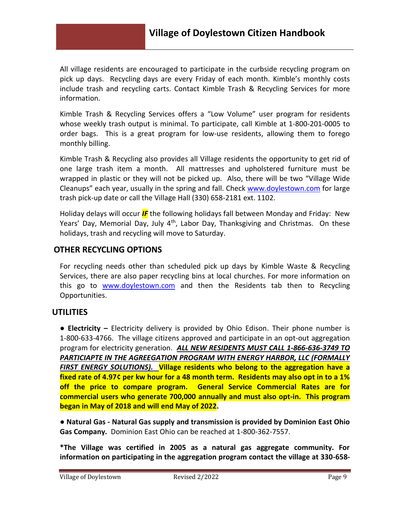All village residents are encouraged to participate in the curbside recycling program on pick up days. Recycling days are every Friday of each month. Kimble's monthly costs include trash and recycling carts. Contact Kimble Trash & Recycling Services for more information.

Kimble Trash & Recycling Services offers a "Low Volume" user program for residents whose weekly trash output is minimal. To participate, call Kimble at 1-800-201-0005 to order bags. This is a great program for low-use residents, allowing them to forego monthly billing.

Kimble Trash & Recycling also provides all Village residents the opportunity to get rid of one large trash item a month. All mattresses and upholstered furniture must be wrapped in plastic or they will not be picked up. Also, there will be two "Village Wide Cleanups" each year, usually in the spring and fall. Check [www.doylestown.com](http://www.doylestown.com/) for large trash pick-up date or call the Village Hall (330) 658-2181 ext. 1102.

Holiday delays will occur *IF* the following holidays fall between Monday and Friday: New Years' Day, Memorial Day, July 4<sup>th</sup>, Labor Day, Thanksgiving and Christmas. On these holidays, trash and recycling will move to Saturday.

# **OTHER RECYCLING OPTIONS**

For recycling needs other than scheduled pick up days by Kimble Waste & Recycling Services, there are also paper recycling bins at local churches. For more information on this go to [www.doylestown.com](http://www.doylestown.com/) and then the Residents tab then to Recycling Opportunities.

## **UTILITIES**

**● Electricity –** Electricity delivery is provided by Ohio Edison. Their phone number is 1-800-633-4766. The village citizens approved and participate in an opt-out aggregation program for electricity generation. *ALL NEW RESIDENTS MUST CALL 1-866-636-3749 TO PARTICIAPTE IN THE AGREEGATION PROGRAM WITH ENERGY HARBOR, LLC (FORMALLY FIRST ENERGY SOLUTIONS).* **Village residents who belong to the aggregation have a fixed rate of 4.97¢ per kw hour for a 48 month term. Residents may also opt in to a 1% off the price to compare program. General Service Commercial Rates are for commercial users who generate 700,000 annually and must also opt-in. This program began in May of 2018 and will end May of 2022.**

**● Natural Gas - Natural Gas supply and transmission is provided by Dominion East Ohio Gas Company.** Dominion East Ohio can be reached at 1-800-362-7557.

**\*The Village was certified in 2005 as a natural gas aggregate community. For information on participating in the aggregation program contact the village at 330-658-**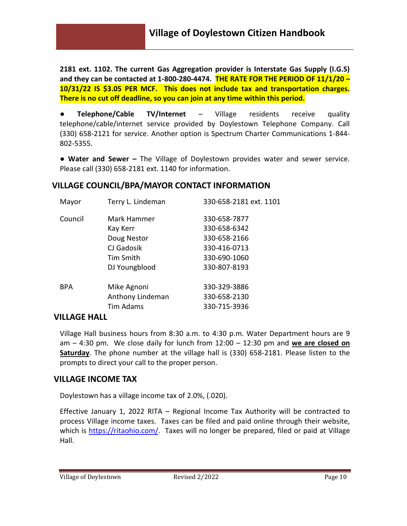**2181 ext. 1102. The current Gas Aggregation provider is Interstate Gas Supply (I.G.S) and they can be contacted at 1-800-280-4474. THE RATE FOR THE PERIOD OF 11/1/20 – 10/31/22 IS \$3.05 PER MCF. This does not include tax and transportation charges. There is no cut off deadline, so you can join at any time within this period.**

**● Telephone/Cable TV/Internet** – Village residents receive quality telephone/cable/internet service provided by Doylestown Telephone Company. Call (330) 658-2121 for service. Another option is Spectrum Charter Communications 1-844- 802-5355.

**● Water and Sewer –** The Village of Doylestown provides water and sewer service. Please call (330) 658-2181 ext. 1140 for information.

## **VILLAGE COUNCIL/BPA/MAYOR CONTACT INFORMATION**

| Mayor      | Terry L. Lindeman | 330-658-2181 ext. 1101 |
|------------|-------------------|------------------------|
| Council    | Mark Hammer       | 330-658-7877           |
|            | Kay Kerr          | 330-658-6342           |
|            | Doug Nestor       | 330-658-2166           |
|            | CJ Gadosik        | 330-416-0713           |
|            | Tim Smith         | 330-690-1060           |
|            | DJ Youngblood     | 330-807-8193           |
| <b>BPA</b> | Mike Agnoni       | 330-329-3886           |
|            | Anthony Lindeman  | 330-658-2130           |
|            | <b>Tim Adams</b>  | 330-715-3936           |
|            |                   |                        |

## **VILLAGE HALL**

Village Hall business hours from 8:30 a.m. to 4:30 p.m. Water Department hours are 9 am – 4:30 pm. We close daily for lunch from 12:00 – 12:30 pm and **we are closed on Saturday**. The phone number at the village hall is (330) 658-2181. Please listen to the prompts to direct your call to the proper person.

## **VILLAGE INCOME TAX**

Doylestown has a village income tax of 2.0%, (.020).

Effective January 1, 2022 RITA – Regional Income Tax Authority will be contracted to process Village income taxes. Taxes can be filed and paid online through their website, which is [https://ritaohio.com/.](https://ritaohio.com/) Taxes will no longer be prepared, filed or paid at Village Hall.

Village of Doylestown **Revised 2/2022** Page 10